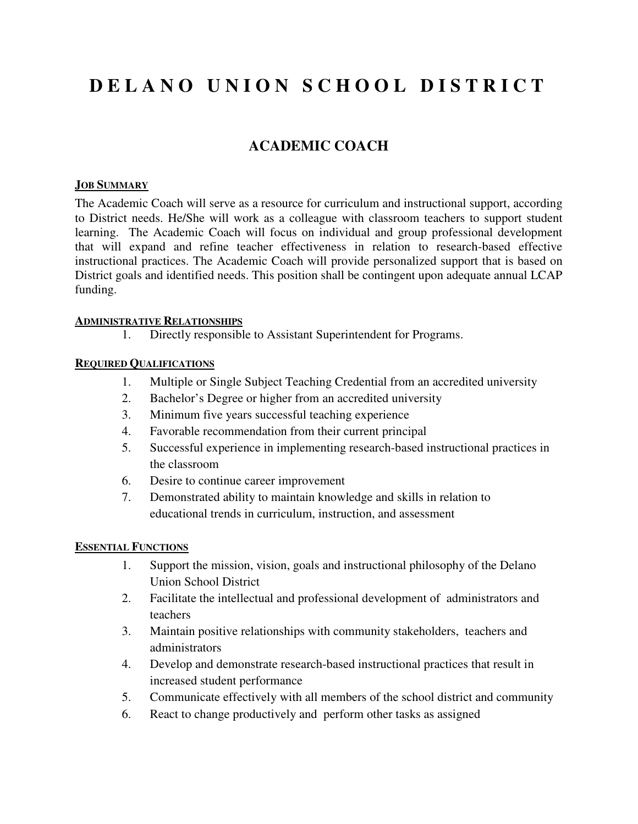# **D E L A N O U N I O N S C H O O L D I S T R I C T**

# **ACADEMIC COACH**

#### **JOB SUMMARY**

The Academic Coach will serve as a resource for curriculum and instructional support, according to District needs. He/She will work as a colleague with classroom teachers to support student learning. The Academic Coach will focus on individual and group professional development that will expand and refine teacher effectiveness in relation to research-based effective instructional practices. The Academic Coach will provide personalized support that is based on District goals and identified needs. This position shall be contingent upon adequate annual LCAP funding.

#### **ADMINISTRATIVE RELATIONSHIPS**

1. Directly responsible to Assistant Superintendent for Programs.

## **REQUIRED QUALIFICATIONS**

- 1. Multiple or Single Subject Teaching Credential from an accredited university
- 2. Bachelor's Degree or higher from an accredited university
- 3. Minimum five years successful teaching experience
- 4. Favorable recommendation from their current principal
- 5. Successful experience in implementing research-based instructional practices in the classroom
- 6. Desire to continue career improvement
- 7. Demonstrated ability to maintain knowledge and skills in relation to educational trends in curriculum, instruction, and assessment

## **ESSENTIAL FUNCTIONS**

- 1. Support the mission, vision, goals and instructional philosophy of the Delano Union School District
- 2. Facilitate the intellectual and professional development of administrators and teachers
- 3. Maintain positive relationships with community stakeholders, teachers and administrators
- 4. Develop and demonstrate research-based instructional practices that result in increased student performance
- 5. Communicate effectively with all members of the school district and community
- 6. React to change productively and perform other tasks as assigned